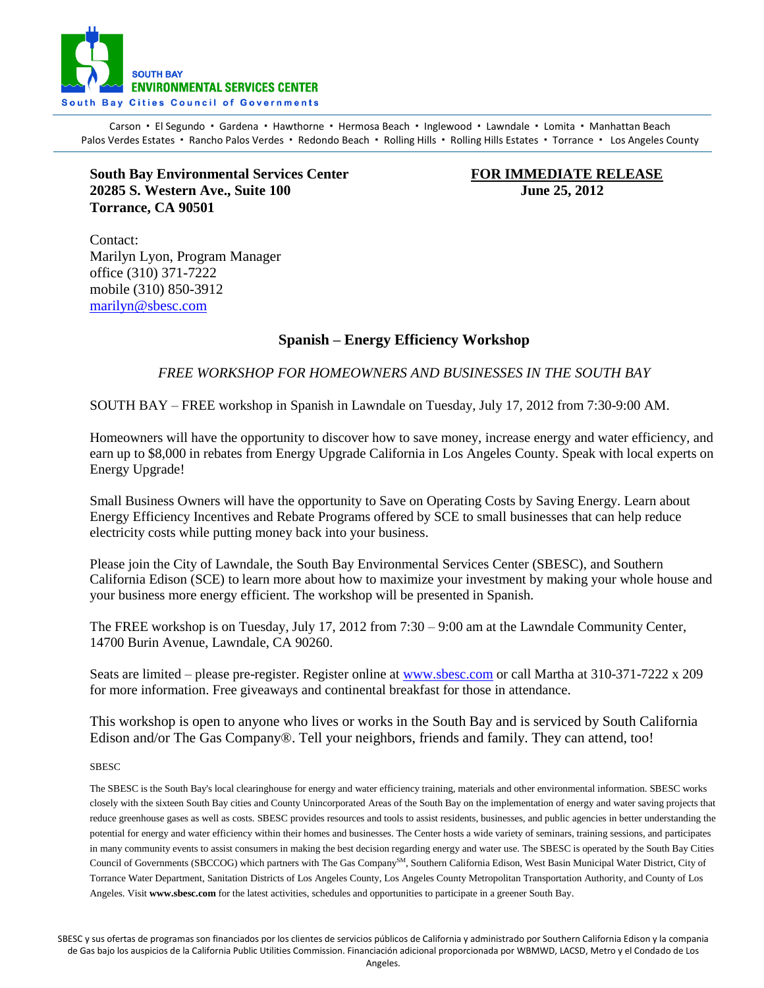

Carson · El Segundo · Gardena · Hawthorne · Hermosa Beach · Inglewood · Lawndale · Lomita · Manhattan Beach Palos Verdes Estates · Rancho Palos Verdes · Redondo Beach · Rolling Hills · Rolling Hills Estates · Torrance · Los Angeles County

**South Bay Environmental Services Center FOR IMMEDIATE RELEASE 20285 S. Western Ave., Suite 100 June 25, 2012 Torrance, CA 90501** 

Contact: Marilyn Lyon, Program Manager office (310) 371-7222 mobile (310) 850-3912 [marilyn@sbesc.com](mailto:marilyn@sbesc.com)

## **Spanish – Energy Efficiency Workshop**

*FREE WORKSHOP FOR HOMEOWNERS AND BUSINESSES IN THE SOUTH BAY*

SOUTH BAY – FREE workshop in Spanish in Lawndale on Tuesday, July 17, 2012 from 7:30-9:00 AM.

Homeowners will have the opportunity to discover how to save money, increase energy and water efficiency, and earn up to \$8,000 in rebates from Energy Upgrade California in Los Angeles County. Speak with local experts on Energy Upgrade!

Small Business Owners will have the opportunity to Save on Operating Costs by Saving Energy. Learn about Energy Efficiency Incentives and Rebate Programs offered by SCE to small businesses that can help reduce electricity costs while putting money back into your business.

Please join the City of Lawndale, the South Bay Environmental Services Center (SBESC), and Southern California Edison (SCE) to learn more about how to maximize your investment by making your whole house and your business more energy efficient. The workshop will be presented in Spanish.

The FREE workshop is on Tuesday, July 17, 2012 from 7:30 – 9:00 am at the Lawndale Community Center, 14700 Burin Avenue, Lawndale, CA 90260.

Seats are limited – please pre-register. Register online at [www.sbesc.com](http://www.sbesc.com/) or call Martha at 310-371-7222 x 209 for more information. Free giveaways and continental breakfast for those in attendance.

This workshop is open to anyone who lives or works in the South Bay and is serviced by South California Edison and/or The Gas Company®. Tell your neighbors, friends and family. They can attend, too!

SBESC

The SBESC is the South Bay's local clearinghouse for energy and water efficiency training, materials and other environmental information. SBESC works closely with the sixteen South Bay cities and County Unincorporated Areas of the South Bay on the implementation of energy and water saving projects that reduce greenhouse gases as well as costs. SBESC provides resources and tools to assist residents, businesses, and public agencies in better understanding the potential for energy and water efficiency within their homes and businesses. The Center hosts a wide variety of seminars, training sessions, and participates in many community events to assist consumers in making the best decision regarding energy and water use. The SBESC is operated by the South Bay Cities Council of Governments (SBCCOG) which partners with The Gas Company<sup>SM</sup>, Southern California Edison, West Basin Municipal Water District, City of Torrance Water Department, Sanitation Districts of Los Angeles County, Los Angeles County Metropolitan Transportation Authority, and County of Los Angeles. Visit **www.sbesc.com** for the latest activities, schedules and opportunities to participate in a greener South Bay.